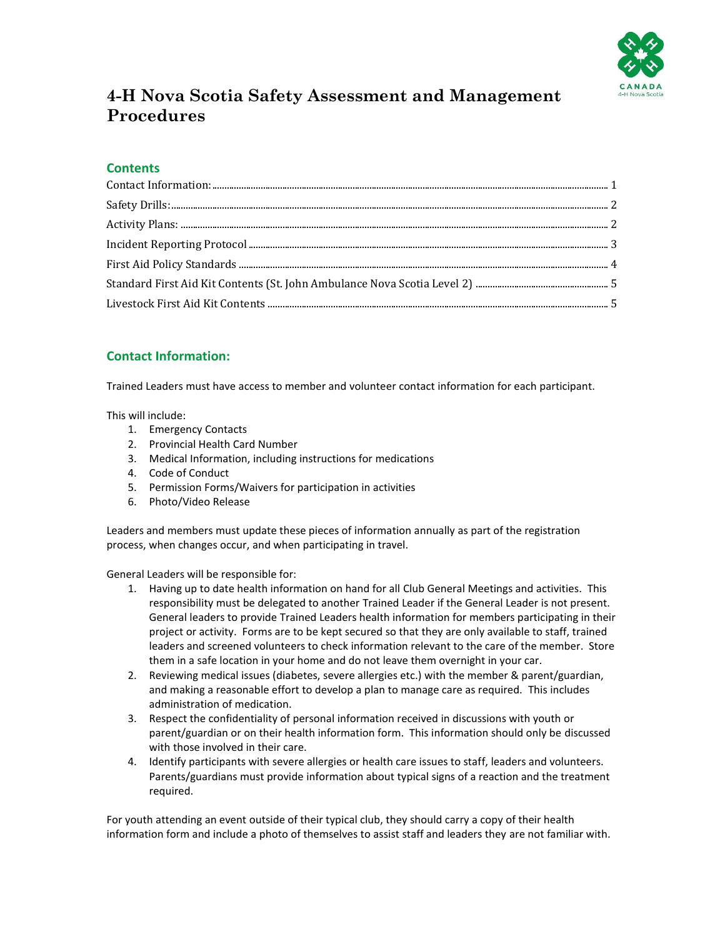

# **4-H Nova Scotia Safety Assessment and Management Procedures**

## **Contents**

## <span id="page-0-0"></span>**Contact Information:**

Trained Leaders must have access to member and volunteer contact information for each participant.

This will include:

- 1. Emergency Contacts
- 2. Provincial Health Card Number
- 3. Medical Information, including instructions for medications
- 4. Code of Conduct
- 5. Permission Forms/Waivers for participation in activities
- 6. Photo/Video Release

Leaders and members must update these pieces of information annually as part of the registration process, when changes occur, and when participating in travel.

General Leaders will be responsible for:

- 1. Having up to date health information on hand for all Club General Meetings and activities. This responsibility must be delegated to another Trained Leader if the General Leader is not present. General leaders to provide Trained Leaders health information for members participating in their project or activity. Forms are to be kept secured so that they are only available to staff, trained leaders and screened volunteers to check information relevant to the care of the member. Store them in a safe location in your home and do not leave them overnight in your car.
- 2. Reviewing medical issues (diabetes, severe allergies etc.) with the member & parent/guardian, and making a reasonable effort to develop a plan to manage care as required. This includes administration of medication.
- 3. Respect the confidentiality of personal information received in discussions with youth or parent/guardian or on their health information form. This information should only be discussed with those involved in their care.
- 4. Identify participants with severe allergies or health care issues to staff, leaders and volunteers. Parents/guardians must provide information about typical signs of a reaction and the treatment required.

For youth attending an event outside of their typical club, they should carry a copy of their health information form and include a photo of themselves to assist staff and leaders they are not familiar with.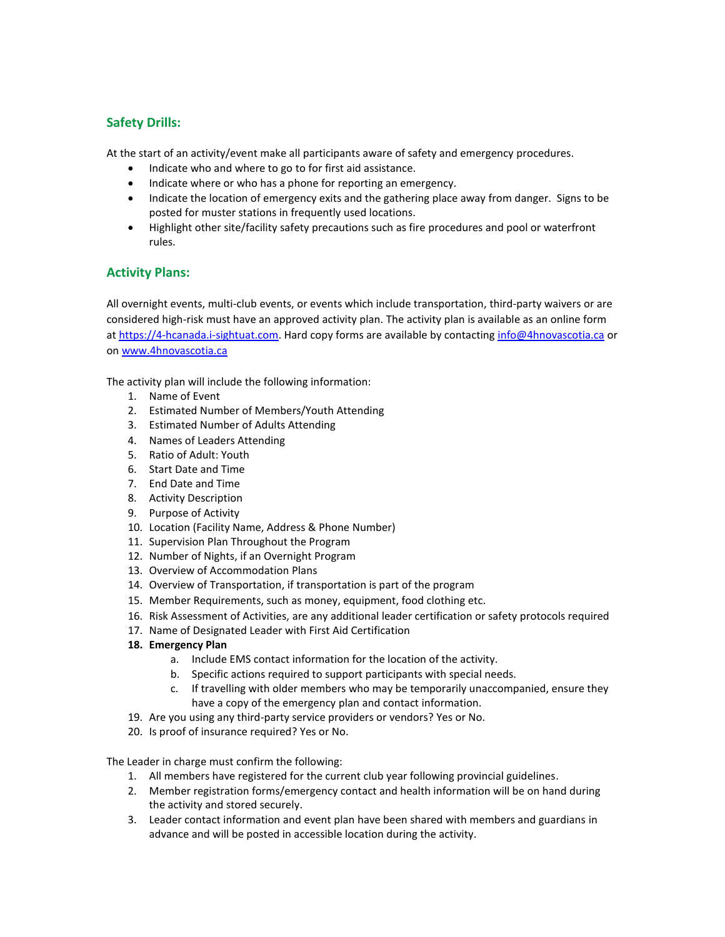## <span id="page-1-0"></span>**Safety Drills:**

At the start of an activity/event make all participants aware of safety and emergency procedures.

- Indicate who and where to go to for first aid assistance.
- Indicate where or who has a phone for reporting an emergency.
- Indicate the location of emergency exits and the gathering place away from danger. Signs to be posted for muster stations in frequently used locations.
- Highlight other site/facility safety precautions such as fire procedures and pool or waterfront rules.

## <span id="page-1-1"></span>**Activity Plans:**

All overnight events, multi-club events, or events which include transportation, third-party waivers or are considered high-risk must have an approved activity plan. The activity plan is available as an online form a[t https://4-hcanada.i-sightuat.com.](https://4-hcanada.i-sightuat.com/) Hard copy forms are available by contactin[g info@4hnovascotia.ca](mailto:info@4hnovascotia.ca) or on [www.4hnovascotia.ca](http://www.4hnovascotia.ca/)

The activity plan will include the following information:

- 1. Name of Event
- 2. Estimated Number of Members/Youth Attending
- 3. Estimated Number of Adults Attending
- 4. Names of Leaders Attending
- 5. Ratio of Adult: Youth
- 6. Start Date and Time
- 7. End Date and Time
- 8. Activity Description
- 9. Purpose of Activity
- 10. Location (Facility Name, Address & Phone Number)
- 11. Supervision Plan Throughout the Program
- 12. Number of Nights, if an Overnight Program
- 13. Overview of Accommodation Plans
- 14. Overview of Transportation, if transportation is part of the program
- 15. Member Requirements, such as money, equipment, food clothing etc.
- 16. Risk Assessment of Activities, are any additional leader certification or safety protocols required
- 17. Name of Designated Leader with First Aid Certification
- **18. Emergency Plan**
	- a. Include EMS contact information for the location of the activity.
	- b. Specific actions required to support participants with special needs.
	- c. If travelling with older members who may be temporarily unaccompanied, ensure they have a copy of the emergency plan and contact information.
- 19. Are you using any third-party service providers or vendors? Yes or No.
- 20. Is proof of insurance required? Yes or No.

The Leader in charge must confirm the following:

- 1. All members have registered for the current club year following provincial guidelines.
- 2. Member registration forms/emergency contact and health information will be on hand during the activity and stored securely.
- 3. Leader contact information and event plan have been shared with members and guardians in advance and will be posted in accessible location during the activity.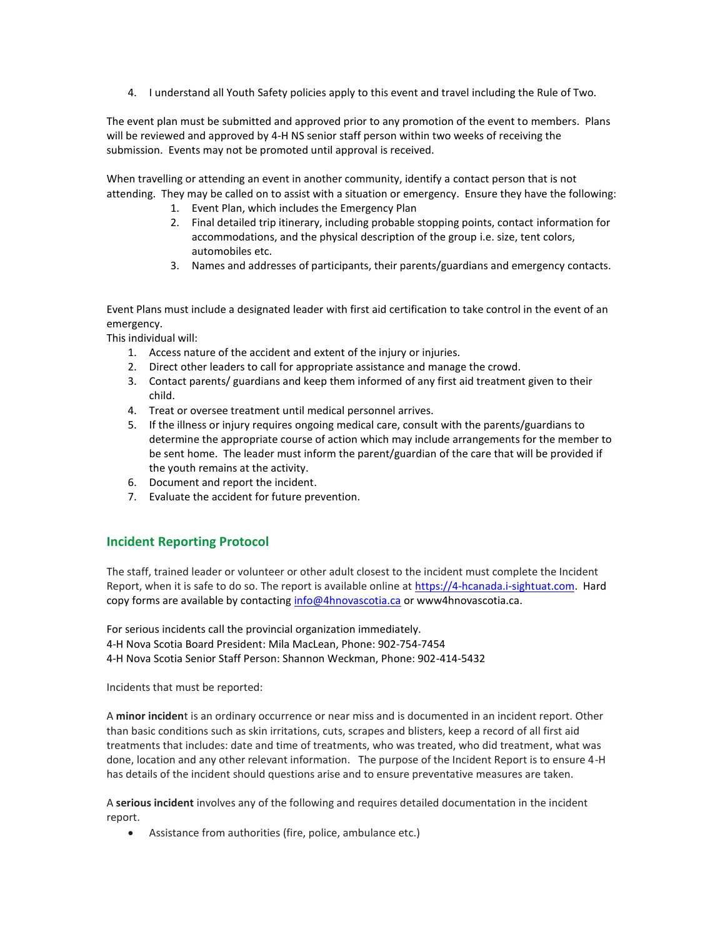4. I understand all Youth Safety policies apply to this event and travel including the Rule of Two.

The event plan must be submitted and approved prior to any promotion of the event to members. Plans will be reviewed and approved by 4-H NS senior staff person within two weeks of receiving the submission. Events may not be promoted until approval is received.

When travelling or attending an event in another community, identify a contact person that is not attending. They may be called on to assist with a situation or emergency. Ensure they have the following:

- 1. Event Plan, which includes the Emergency Plan
- 2. Final detailed trip itinerary, including probable stopping points, contact information for accommodations, and the physical description of the group i.e. size, tent colors, automobiles etc.
- 3. Names and addresses of participants, their parents/guardians and emergency contacts.

Event Plans must include a designated leader with first aid certification to take control in the event of an emergency.

This individual will:

- 1. Access nature of the accident and extent of the injury or injuries.
- 2. Direct other leaders to call for appropriate assistance and manage the crowd.
- 3. Contact parents/ guardians and keep them informed of any first aid treatment given to their child.
- 4. Treat or oversee treatment until medical personnel arrives.
- 5. If the illness or injury requires ongoing medical care, consult with the parents/guardians to determine the appropriate course of action which may include arrangements for the member to be sent home. The leader must inform the parent/guardian of the care that will be provided if the youth remains at the activity.
- 6. Document and report the incident.
- 7. Evaluate the accident for future prevention.

### <span id="page-2-0"></span>**Incident Reporting Protocol**

The staff, trained leader or volunteer or other adult closest to the incident must complete the Incident Report, when it is safe to do so. The report is available online a[t https://4-hcanada.i-sightuat.com.](https://4-hcanada.i-sightuat.com/) Hard copy forms are available by contactin[g info@4hnovascotia.ca](mailto:info@4hnovascotia.ca) or www4hnovascotia.ca.

For serious incidents call the provincial organization immediately. 4-H Nova Scotia Board President: Mila MacLean, Phone: 902-754-7454 4-H Nova Scotia Senior Staff Person: Shannon Weckman, Phone: 902-414-5432

Incidents that must be reported:

A **minor inciden**t is an ordinary occurrence or near miss and is documented in an incident report. Other than basic conditions such as skin irritations, cuts, scrapes and blisters, keep a record of all first aid treatments that includes: date and time of treatments, who was treated, who did treatment, what was done, location and any other relevant information. The purpose of the Incident Report is to ensure 4-H has details of the incident should questions arise and to ensure preventative measures are taken.

A **serious incident** involves any of the following and requires detailed documentation in the incident report.

Assistance from authorities (fire, police, ambulance etc.)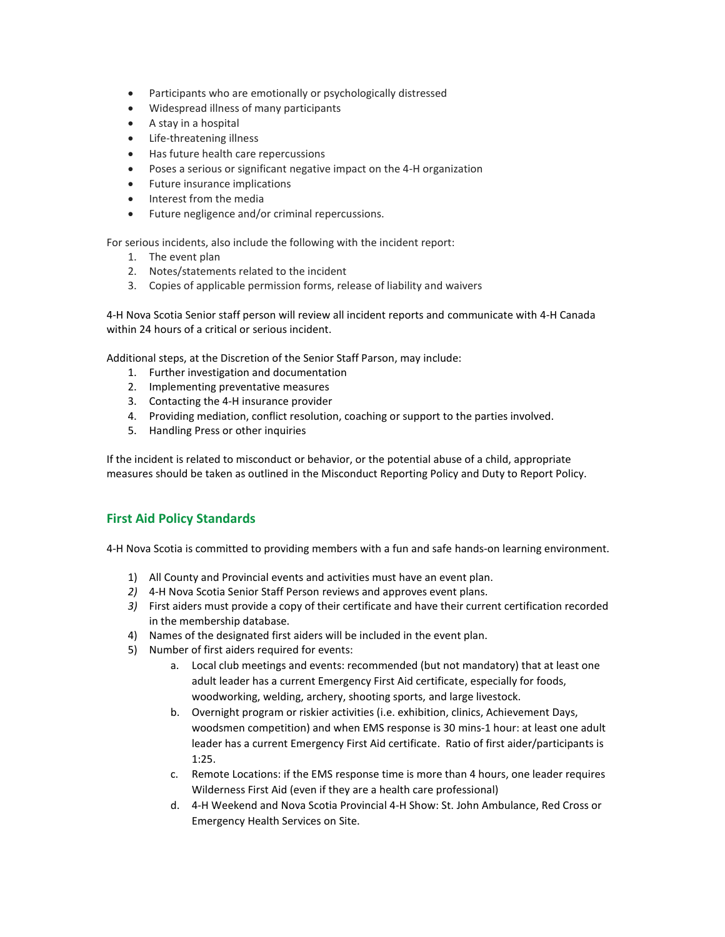- Participants who are emotionally or psychologically distressed
- Widespread illness of many participants
- A stay in a hospital
- Life-threatening illness
- Has future health care repercussions
- Poses a serious or significant negative impact on the 4-H organization
- Future insurance implications
- Interest from the media
- Future negligence and/or criminal repercussions.

For serious incidents, also include the following with the incident report:

- 1. The event plan
- 2. Notes/statements related to the incident
- 3. Copies of applicable permission forms, release of liability and waivers

4-H Nova Scotia Senior staff person will review all incident reports and communicate with 4-H Canada within 24 hours of a critical or serious incident.

Additional steps, at the Discretion of the Senior Staff Parson, may include:

- 1. Further investigation and documentation
- 2. Implementing preventative measures
- 3. Contacting the 4-H insurance provider
- 4. Providing mediation, conflict resolution, coaching or support to the parties involved.
- 5. Handling Press or other inquiries

If the incident is related to misconduct or behavior, or the potential abuse of a child, appropriate measures should be taken as outlined in the Misconduct Reporting Policy and Duty to Report Policy.

### <span id="page-3-0"></span>**First Aid Policy Standards**

4-H Nova Scotia is committed to providing members with a fun and safe hands-on learning environment.

- 1) All County and Provincial events and activities must have an event plan.
- *2)* 4-H Nova Scotia Senior Staff Person reviews and approves event plans.
- *3)* First aiders must provide a copy of their certificate and have their current certification recorded in the membership database.
- 4) Names of the designated first aiders will be included in the event plan.
- 5) Number of first aiders required for events:
	- a. Local club meetings and events: recommended (but not mandatory) that at least one adult leader has a current Emergency First Aid certificate, especially for foods, woodworking, welding, archery, shooting sports, and large livestock.
	- b. Overnight program or riskier activities (i.e. exhibition, clinics, Achievement Days, woodsmen competition) and when EMS response is 30 mins-1 hour: at least one adult leader has a current Emergency First Aid certificate. Ratio of first aider/participants is 1:25.
	- c. Remote Locations: if the EMS response time is more than 4 hours, one leader requires Wilderness First Aid (even if they are a health care professional)
	- d. 4-H Weekend and Nova Scotia Provincial 4-H Show: St. John Ambulance, Red Cross or Emergency Health Services on Site.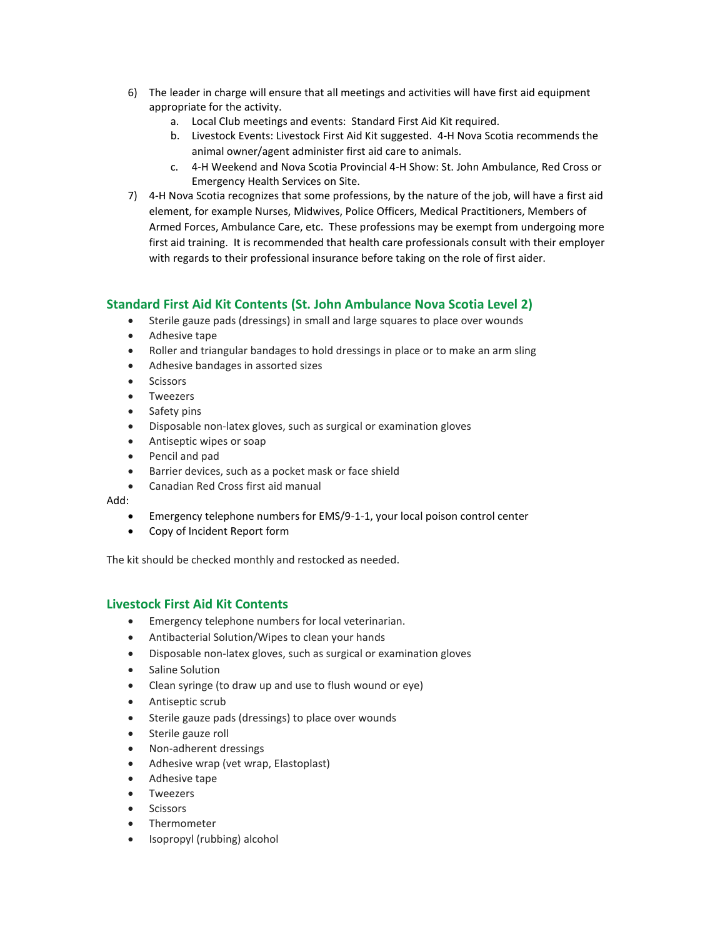- 6) The leader in charge will ensure that all meetings and activities will have first aid equipment appropriate for the activity.
	- a. Local Club meetings and events: Standard First Aid Kit required.
	- b. Livestock Events: Livestock First Aid Kit suggested. 4-H Nova Scotia recommends the animal owner/agent administer first aid care to animals.
	- c. 4-H Weekend and Nova Scotia Provincial 4-H Show: St. John Ambulance, Red Cross or Emergency Health Services on Site.
- 7) 4-H Nova Scotia recognizes that some professions, by the nature of the job, will have a first aid element, for example Nurses, Midwives, Police Officers, Medical Practitioners, Members of Armed Forces, Ambulance Care, etc. These professions may be exempt from undergoing more first aid training. It is recommended that health care professionals consult with their employer with regards to their professional insurance before taking on the role of first aider.

#### <span id="page-4-0"></span>**Standard First Aid Kit Contents (St. John Ambulance Nova Scotia Level 2)**

- Sterile gauze pads (dressings) in small and large squares to place over wounds
- Adhesive tape
- Roller and triangular bandages to hold dressings in place or to make an arm sling
- Adhesive bandages in assorted sizes
- **•** Scissors
- Tweezers
- Safety pins
- Disposable non-latex gloves, such as surgical or examination gloves
- Antiseptic wipes or soap
- Pencil and pad
- Barrier devices, such as a pocket mask or face shield
- Canadian Red Cross first aid manual

#### Add:

- Emergency telephone numbers for EMS/9-1-1, your local poison control center
- Copy of Incident Report form

The kit should be checked monthly and restocked as needed.

### <span id="page-4-1"></span>**Livestock First Aid Kit Contents**

- Emergency telephone numbers for local veterinarian.
- Antibacterial Solution/Wipes to clean your hands
- Disposable non-latex gloves, such as surgical or examination gloves
- Saline Solution
- Clean syringe (to draw up and use to flush wound or eye)
- Antiseptic scrub
- Sterile gauze pads (dressings) to place over wounds
- Sterile gauze roll
- Non-adherent dressings
- Adhesive wrap (vet wrap, Elastoplast)
- Adhesive tape
- Tweezers
- **•** Scissors
- Thermometer
- Isopropyl (rubbing) alcohol